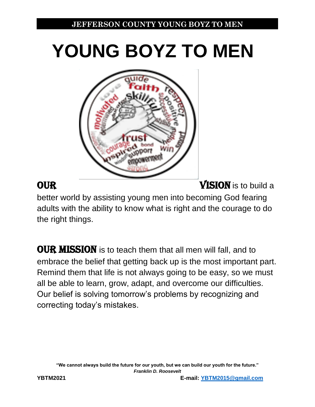# **YOUNG BOYZ TO MEN**



**OUR** VISION is to build a

better world by assisting young men into becoming God fearing adults with the ability to know what is right and the courage to do the right things.

**OUR MISSION** is to teach them that all men will fall, and to embrace the belief that getting back up is the most important part. Remind them that life is not always going to be easy, so we must all be able to learn, grow, adapt, and overcome our difficulties. Our belief is solving tomorrow's problems by recognizing and correcting today's mistakes.

**"We cannot always build the future for our youth, but we can build our youth for the future."** *Franklin D. Roosevelt*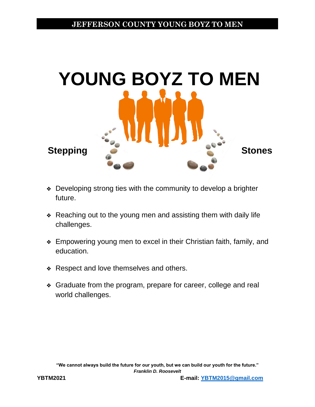

- ❖ Developing strong ties with the community to develop a brighter future.
- ❖ Reaching out to the young men and assisting them with daily life challenges.
- ❖ Empowering young men to excel in their Christian faith, family, and education.
- ❖ Respect and love themselves and others.
- ❖ Graduate from the program, prepare for career, college and real world challenges.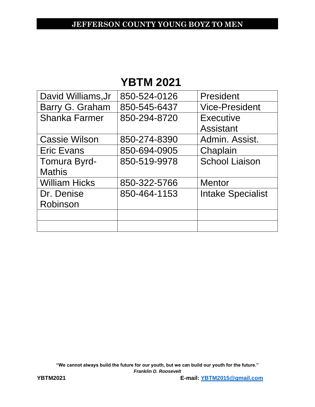# **YBTM 2021**

| David Williams, Jr   | 850-524-0126 | President                |
|----------------------|--------------|--------------------------|
| Barry G. Graham      | 850-545-6437 | <b>Vice-President</b>    |
| <b>Shanka Farmer</b> | 850-294-8720 | Executive                |
|                      |              | <b>Assistant</b>         |
| <b>Cassie Wilson</b> | 850-274-8390 | Admin, Assist.           |
| <b>Eric Evans</b>    | 850-694-0905 | Chaplain                 |
| Tomura Byrd-         | 850-519-9978 | <b>School Liaison</b>    |
| <b>Mathis</b>        |              |                          |
| <b>William Hicks</b> | 850-322-5766 | <b>Mentor</b>            |
| Dr. Denise           | 850-464-1153 | <b>Intake Specialist</b> |
| Robinson             |              |                          |
|                      |              |                          |
|                      |              |                          |

**"We cannot always build the future for our youth, but we can build our youth for the future."** *Franklin D. Roosevelt*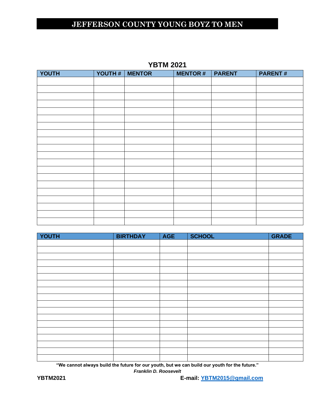| YOUTH | YOUTH #   MENTOR | <b>MENTOR#</b> | <b>PARENT</b> | <b>PARENT#</b> |
|-------|------------------|----------------|---------------|----------------|
|       |                  |                |               |                |
|       |                  |                |               |                |
|       |                  |                |               |                |
|       |                  |                |               |                |
|       |                  |                |               |                |
|       |                  |                |               |                |
|       |                  |                |               |                |
|       |                  |                |               |                |
|       |                  |                |               |                |
|       |                  |                |               |                |
|       |                  |                |               |                |
|       |                  |                |               |                |
|       |                  |                |               |                |
|       |                  |                |               |                |
|       |                  |                |               |                |
|       |                  |                |               |                |
|       |                  |                |               |                |
|       |                  |                |               |                |
|       |                  |                |               |                |
|       |                  |                |               |                |

| YOUTH | <b>BIRTHDAY</b> | <b>AGE</b> | <b>SCHOOL</b> | <b>GRADE</b> |
|-------|-----------------|------------|---------------|--------------|
|       |                 |            |               |              |
|       |                 |            |               |              |
|       |                 |            |               |              |
|       |                 |            |               |              |
|       |                 |            |               |              |
|       |                 |            |               |              |
|       |                 |            |               |              |
|       |                 |            |               |              |
|       |                 |            |               |              |
|       |                 |            |               |              |
|       |                 |            |               |              |
|       |                 |            |               |              |
|       |                 |            |               |              |
|       |                 |            |               |              |
|       |                 |            |               |              |
|       |                 |            |               |              |
|       |                 |            |               |              |
|       |                 |            |               |              |

**"We cannot always build the future for our youth, but we can build our youth for the future."**

*Franklin D. Roosevelt*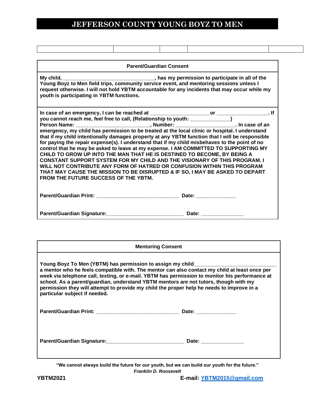|                                                                                                                        | <b>Parent/Guardian Consent</b> |                                                                                                                                                                                                                                                                                                                                                                                                                                                                                                                                         |  |
|------------------------------------------------------------------------------------------------------------------------|--------------------------------|-----------------------------------------------------------------------------------------------------------------------------------------------------------------------------------------------------------------------------------------------------------------------------------------------------------------------------------------------------------------------------------------------------------------------------------------------------------------------------------------------------------------------------------------|--|
| youth is participating in YBTM functions.                                                                              |                                | My child, __________________________________, has my permission to participate in all of the Young Boyz to Men field trips, community service event, and mentoring sessions unless I<br>request otherwise. I will not hold YBTM accountable for any incidents that may occur while my                                                                                                                                                                                                                                                   |  |
| CHILD TO GROW UP INTO THE MAN THAT HE IS DESTINED TO BECOME, BY BEING A<br><b>FROM THE FUTURE SUCCESS OF THE YBTM.</b> |                                | that if my child intentionally damages property at any YBTM function that I will be responsible<br>for paying the repair expense(s). I understand that if my child misbehaves to the point of no<br>control that he may be asked to leave at my expense. I AM COMMITTED TO SUPPORTING MY<br><b>CONSTANT SUPPORT SYSTEM FOR MY CHILD AND THE VISIONARY OF THIS PROGRAM. I</b><br>WILL NOT CONTRIBUTE ANY FORM OF HATRED OR CONFUSION WITHIN THIS PROGRAM<br>THAT MAY CAUSE THE MISSION TO BE DISRUPTED & IF SO, I MAY BE ASKED TO DEPART |  |
|                                                                                                                        |                                |                                                                                                                                                                                                                                                                                                                                                                                                                                                                                                                                         |  |
| Parent/Guardian Signature: Date: Date: Date:                                                                           |                                |                                                                                                                                                                                                                                                                                                                                                                                                                                                                                                                                         |  |

| <b>Mentoring Consent</b>                                                                                                                                                                                                                                                                                                                                                                                                                                                                   |                       |
|--------------------------------------------------------------------------------------------------------------------------------------------------------------------------------------------------------------------------------------------------------------------------------------------------------------------------------------------------------------------------------------------------------------------------------------------------------------------------------------------|-----------------------|
| Young Boyz To Men (YBTM) has permission to assign my child_______<br>a mentor who he feels compatible with. The mentor can also contact my child at least once per<br>week via telephone call, texting, or e-mail. YBTM has permission to monitor his performance at<br>school. As a parent/guardian, understand YBTM mentors are not tutors, though with my<br>permission they will attempt to provide my child the proper help he needs to improve in a<br>particular subject if needed. |                       |
|                                                                                                                                                                                                                                                                                                                                                                                                                                                                                            | Date: _______________ |
| Parent/Guardian Signature: 2008 2010 2020 2021                                                                                                                                                                                                                                                                                                                                                                                                                                             | Date: _______________ |

**"We cannot always build the future for our youth, but we can build our youth for the future."** *Franklin D. Roosevelt* 

Г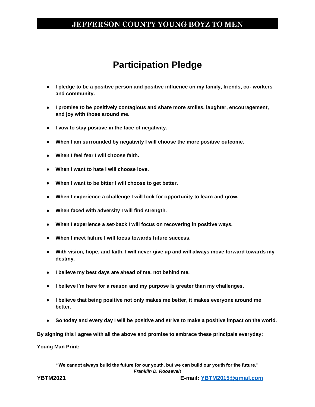# **Participation Pledge**

- **I pledge to be a positive person and positive influence on my family, friends, co- workers and community.**
- **I promise to be positively contagious and share more smiles, laughter, encouragement, and joy with those around me.**
- **I vow to stay positive in the face of negativity.**
- **When I am surrounded by negativity I will choose the more positive outcome.**
- **When I feel fear I will choose faith.**
- **When I want to hate I will choose love.**
- **When I want to be bitter I will choose to get better.**
- **When I experience a challenge I will look for opportunity to learn and grow.**
- **When faced with adversity I will find strength.**
- **When I experience a set-back I will focus on recovering in positive ways.**
- **When I meet failure I will focus towards future success.**
- **With vision, hope, and faith, I will never give up and will always move forward towards my destiny.**
- **I believe my best days are ahead of me, not behind me.**
- **I believe I'm here for a reason and my purpose is greater than my challenges.**
- **I believe that being positive not only makes me better, it makes everyone around me better.**
- **So today and every day I will be positive and strive to make a positive impact on the world.**

**By signing this I agree with all the above and promise to embrace these principals everyday:**

**Young Man Print: \_\_\_\_\_\_\_\_\_\_\_\_\_\_\_\_\_\_\_\_\_\_\_\_\_\_\_\_\_\_\_\_\_\_\_\_\_\_\_\_\_\_\_\_\_\_\_\_\_\_\_\_**

**"We cannot always build the future for our youth, but we can build our youth for the future."** *Franklin D. Roosevelt*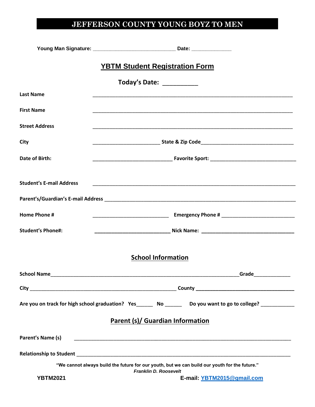|                                 | <b>YBTM Student Registration Form</b>                                                                                         |
|---------------------------------|-------------------------------------------------------------------------------------------------------------------------------|
|                                 | Today's Date: ___________                                                                                                     |
| <b>Last Name</b>                |                                                                                                                               |
| <b>First Name</b>               |                                                                                                                               |
| <b>Street Address</b>           |                                                                                                                               |
| City                            | __________________________________State & Zip Code______________________________                                              |
| <b>Date of Birth:</b>           |                                                                                                                               |
| <b>Student's E-mail Address</b> |                                                                                                                               |
|                                 |                                                                                                                               |
| Home Phone #                    |                                                                                                                               |
| <b>Student's Phone#:</b>        |                                                                                                                               |
|                                 | <b>School Information</b>                                                                                                     |
|                                 |                                                                                                                               |
|                                 |                                                                                                                               |
|                                 | Are you on track for high school graduation? Yes________ No _______ Do you want to go to college? ____________                |
|                                 | Parent (s)/ Guardian Information                                                                                              |
| Parent's Name (s)               | <u> 1980 - Johann Barbara, martxa alemaniar argumento estas estas estas estas estas estas estas estas estas estas </u>        |
|                                 |                                                                                                                               |
|                                 | "We cannot always build the future for our youth, but we can build our youth for the future."<br><b>Franklin D. Roosevelt</b> |
| <b>YBTM2021</b>                 | E-mail: YBTM2015@gmail.com                                                                                                    |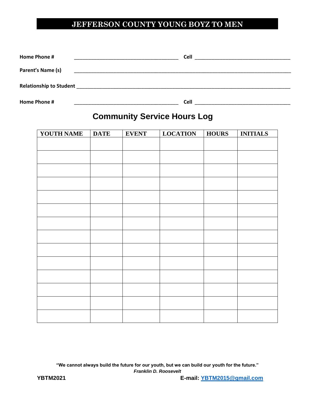| Home Phone #                   | Cell        |  |
|--------------------------------|-------------|--|
| Parent's Name (s)              |             |  |
| <b>Relationship to Student</b> |             |  |
| Home Phone #                   | <b>Cell</b> |  |

# **Community Service Hours Log**

| YOUTH NAME | <b>DATE</b> | <b>EVENT</b> | <b>LOCATION</b> | <b>HOURS</b> | <b>INITIALS</b> |
|------------|-------------|--------------|-----------------|--------------|-----------------|
|            |             |              |                 |              |                 |
|            |             |              |                 |              |                 |
|            |             |              |                 |              |                 |
|            |             |              |                 |              |                 |
|            |             |              |                 |              |                 |
|            |             |              |                 |              |                 |
|            |             |              |                 |              |                 |
|            |             |              |                 |              |                 |
|            |             |              |                 |              |                 |
|            |             |              |                 |              |                 |
|            |             |              |                 |              |                 |
|            |             |              |                 |              |                 |
|            |             |              |                 |              |                 |
|            |             |              |                 |              |                 |
|            |             |              |                 |              |                 |

**"We cannot always build the future for our youth, but we can build our youth for the future."** *Franklin D. Roosevelt*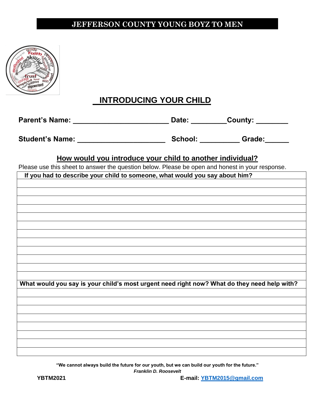

#### **INTRODUCING YOUR CHILD**

| <b>Parent's Name:</b> | Date: | County: |
|-----------------------|-------|---------|
|                       |       |         |

**Student's Name: \_\_\_\_\_\_\_\_\_\_\_\_\_\_\_\_\_\_\_\_\_\_ School: \_\_\_\_\_\_\_\_\_\_ Grade:\_\_\_\_\_\_**

**How would you introduce your child to another individual?**

Please use this sheet to answer the question below. Please be open and honest in your response.

| If you had to describe your child to someone, what would you say about him?                 |
|---------------------------------------------------------------------------------------------|
|                                                                                             |
|                                                                                             |
|                                                                                             |
|                                                                                             |
|                                                                                             |
|                                                                                             |
|                                                                                             |
|                                                                                             |
|                                                                                             |
|                                                                                             |
|                                                                                             |
|                                                                                             |
|                                                                                             |
| What would you say is your child's most urgent need right now? What do they need help with? |
|                                                                                             |
|                                                                                             |
|                                                                                             |
|                                                                                             |
|                                                                                             |
|                                                                                             |
|                                                                                             |
|                                                                                             |
|                                                                                             |

**"We cannot always build the future for our youth, but we can build our youth for the future."**

*Franklin D. Roosevelt*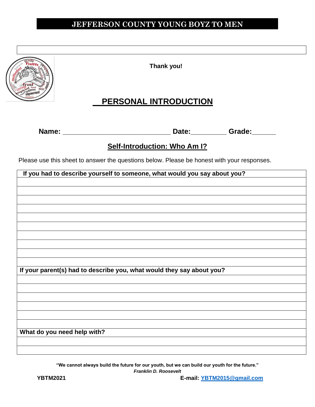

**Thank you!**

#### **PERSONAL INTRODUCTION**

**Name: \_\_\_\_\_\_\_\_\_\_\_\_\_\_\_\_\_\_\_\_\_\_\_\_\_\_\_ Date:\_\_\_\_\_\_\_\_\_ Grade:\_\_\_\_\_\_**

#### **Self-Introduction: Who Am I?**

Please use this sheet to answer the questions below. Please be honest with your responses.

| If you had to describe yourself to someone, what would you say about you? |
|---------------------------------------------------------------------------|
|                                                                           |
|                                                                           |
|                                                                           |
|                                                                           |
|                                                                           |
|                                                                           |
|                                                                           |
|                                                                           |
|                                                                           |
|                                                                           |
|                                                                           |
|                                                                           |
|                                                                           |
|                                                                           |
|                                                                           |
|                                                                           |
|                                                                           |
|                                                                           |
| If your parent(s) had to describe you, what would they say about you?     |
|                                                                           |
|                                                                           |
|                                                                           |
|                                                                           |
|                                                                           |
|                                                                           |
|                                                                           |
|                                                                           |
|                                                                           |
|                                                                           |
|                                                                           |
| What do you need help with?                                               |
|                                                                           |
|                                                                           |
|                                                                           |

**"We cannot always build the future for our youth, but we can build our youth for the future."**

*Franklin D. Roosevelt*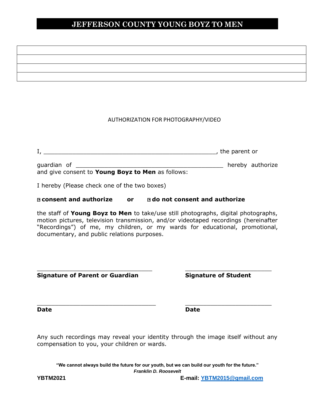#### AUTHORIZATION FOR PHOTOGRAPHY/VIDEO

|                                                                  |  | , the parent or |                  |  |
|------------------------------------------------------------------|--|-----------------|------------------|--|
| quardian of<br>and give consent to Young Boyz to Men as follows: |  |                 | hereby authorize |  |

I hereby (Please check one of the two boxes)

#### $\Box$  **consent and authorize or**  $\Box$  **do not consent and authorize**

the staff of **Young Boyz to Men** to take/use still photographs, digital photographs, motion pictures, television transmission, and/or videotaped recordings (hereinafter "Recordings") of me, my children, or my wards for educational, promotional, documentary, and public relations purposes.

\_\_\_\_\_\_\_\_\_\_\_\_\_\_\_\_\_\_\_\_\_\_\_\_\_\_\_\_\_\_\_\_ \_\_\_\_\_\_\_\_\_\_\_\_\_\_\_\_\_\_\_\_\_\_\_\_

 $\_$  , and the set of the set of the set of the set of the set of the set of the set of the set of the set of the set of the set of the set of the set of the set of the set of the set of the set of the set of the set of th

**Signature of Parent or Guardian Signature of Student**

**Date Date**

Any such recordings may reveal your identity through the image itself without any compensation to you, your children or wards.

**"We cannot always build the future for our youth, but we can build our youth for the future."** *Franklin D. Roosevelt*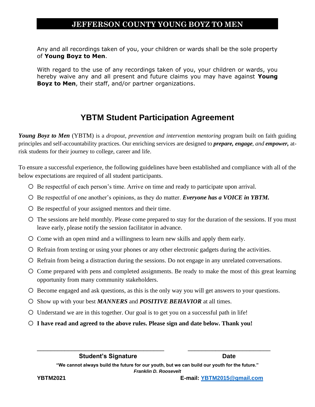Any and all recordings taken of you, your children or wards shall be the sole property of **Young Boyz to Men**.

With regard to the use of any recordings taken of you, your children or wards, you hereby waive any and all present and future claims you may have against **Young Boyz to Men**, their staff, and/or partner organizations.

#### **YBTM Student Participation Agreement**

*Young Boyz to Men* (YBTM) is a *dropout, prevention and intervention mentoring* program built on faith guiding principles and self-accountability practices. Our enriching services are designed to *prepare, engage, and empower,* atrisk students for their journey to college, career and life.

To ensure a successful experience, the following guidelines have been established and compliance with all of the below expectations are required of all student participants.

- o Be respectful of each person's time. Arrive on time and ready to participate upon arrival.
- o Be respectful of one another's opinions, as they do matter. *Everyone has a VOICE in YBTM.*
- o Be respectful of your assigned mentors and their time.
- o The sessions are held monthly. Please come prepared to stay for the duration of the sessions. If you must leave early, please notify the session facilitator in advance.
- o Come with an open mind and a willingness to learn new skills and apply them early.
- o Refrain from texting or using your phones or any other electronic gadgets during the activities.
- o Refrain from being a distraction during the sessions. Do not engage in any unrelated conversations.
- o Come prepared with pens and completed assignments. Be ready to make the most of this great learning opportunity from many community stakeholders.
- o Become engaged and ask questions, as this is the only way you will get answers to your questions.
- o Show up with your best *MANNERS* and *POSITIVE BEHAVIOR* at all times.
- o Understand we are in this together. Our goal is to get you on a successful path in life!
- o **I have read and agreed to the above rules. Please sign and date below. Thank you!**

**"We cannot always build the future for our youth, but we can build our youth for the future."** *Franklin D. Roosevelt* 

\_\_\_\_\_\_\_\_\_\_\_\_\_\_\_\_\_\_\_\_\_\_\_\_\_\_\_\_\_\_\_\_\_\_\_\_\_ \_\_\_\_\_\_\_\_\_\_\_\_\_\_\_\_\_\_\_\_\_\_\_\_